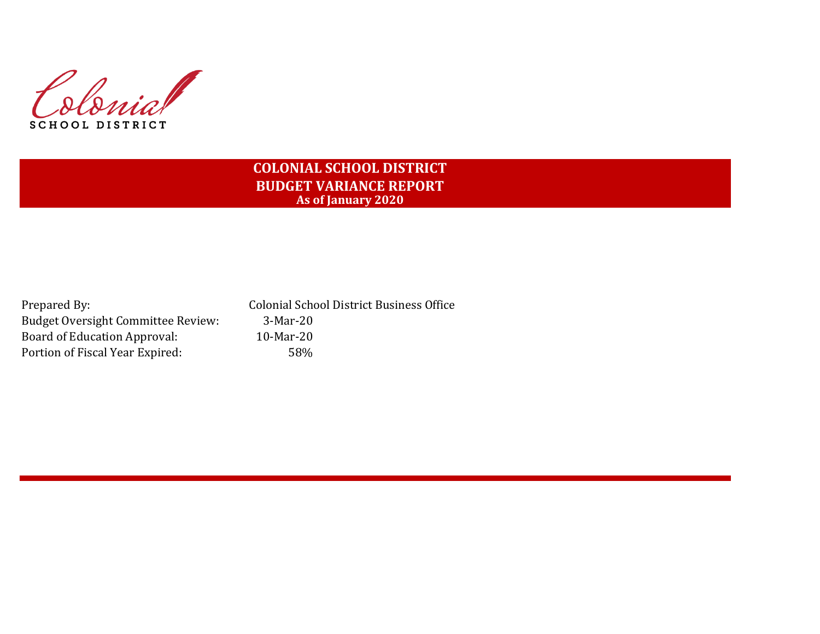

# **COLONIAL SCHOOL DISTRICT BUDGET VARIANCE REPORT As of January 2020**

Prepared By: Colonial School District Business Office Budget Oversight Committee Review: 3-Mar-20 Board of Education Approval: 10-Mar-20 Portion of Fiscal Year Expired: 58%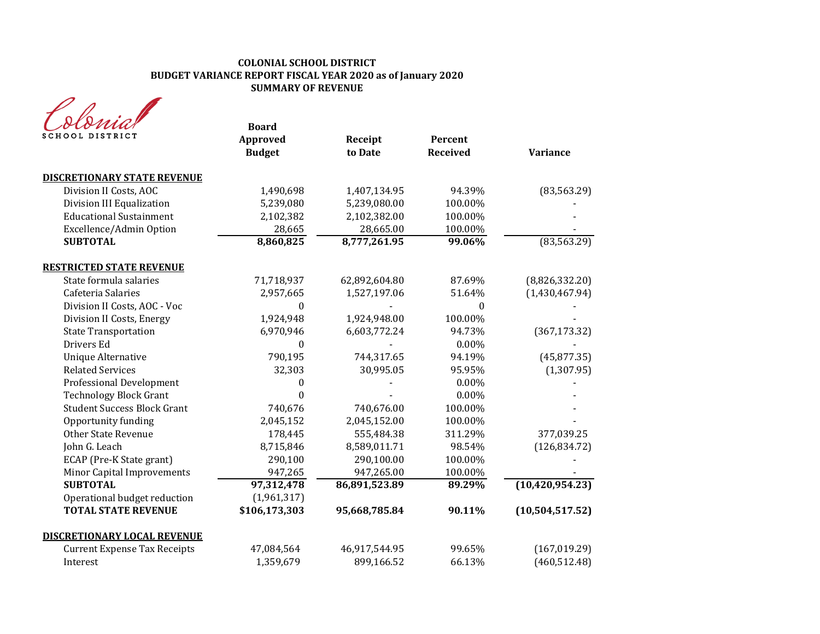### **COLONIAL SCHOOL DISTRICT BUDGET VARIANCE REPORT FISCAL YEAR 2020 as of January 2020 SUMMARY OF REVENUE**

| SCHOOL DISTRICT                     | <b>Board</b><br>Approved<br><b>Budget</b> | Receipt<br>to Date | Percent<br><b>Received</b> | <b>Variance</b>   |
|-------------------------------------|-------------------------------------------|--------------------|----------------------------|-------------------|
| <b>DISCRETIONARY STATE REVENUE</b>  |                                           |                    |                            |                   |
| Division II Costs, AOC              | 1,490,698                                 | 1,407,134.95       | 94.39%                     | (83, 563.29)      |
| Division III Equalization           | 5,239,080                                 | 5,239,080.00       | 100.00%                    |                   |
| <b>Educational Sustainment</b>      | 2,102,382                                 | 2,102,382.00       | 100.00%                    |                   |
| Excellence/Admin Option             | 28,665                                    | 28,665.00          | 100.00%                    |                   |
| <b>SUBTOTAL</b>                     | 8,860,825                                 | 8,777,261.95       | 99.06%                     | (83, 563.29)      |
| <b>RESTRICTED STATE REVENUE</b>     |                                           |                    |                            |                   |
| State formula salaries              | 71,718,937                                | 62,892,604.80      | 87.69%                     | (8,826,332.20)    |
| Cafeteria Salaries                  | 2,957,665                                 | 1,527,197.06       | 51.64%                     | (1,430,467.94)    |
| Division II Costs, AOC - Voc        | $\Omega$                                  |                    | $\Omega$                   |                   |
| Division II Costs, Energy           | 1,924,948                                 | 1,924,948.00       | 100.00%                    |                   |
| <b>State Transportation</b>         | 6,970,946                                 | 6,603,772.24       | 94.73%                     | (367, 173.32)     |
| Drivers Ed                          | 0                                         |                    | 0.00%                      |                   |
| Unique Alternative                  | 790,195                                   | 744,317.65         | 94.19%                     | (45, 877.35)      |
| <b>Related Services</b>             | 32,303                                    | 30,995.05          | 95.95%                     | (1, 307.95)       |
| <b>Professional Development</b>     | 0                                         |                    | 0.00%                      |                   |
| <b>Technology Block Grant</b>       | $\theta$                                  |                    | 0.00%                      |                   |
| <b>Student Success Block Grant</b>  | 740,676                                   | 740,676.00         | 100.00%                    |                   |
| Opportunity funding                 | 2,045,152                                 | 2,045,152.00       | 100.00%                    |                   |
| <b>Other State Revenue</b>          | 178,445                                   | 555,484.38         | 311.29%                    | 377,039.25        |
| John G. Leach                       | 8,715,846                                 | 8,589,011.71       | 98.54%                     | (126, 834.72)     |
| ECAP (Pre-K State grant)            | 290,100                                   | 290,100.00         | 100.00%                    |                   |
| Minor Capital Improvements          | 947,265                                   | 947,265.00         | 100.00%                    |                   |
| <b>SUBTOTAL</b>                     | 97,312,478                                | 86,891,523.89      | 89.29%                     | (10, 420, 954.23) |
| Operational budget reduction        | (1,961,317)                               |                    |                            |                   |
| <b>TOTAL STATE REVENUE</b>          | \$106,173,303                             | 95,668,785.84      | 90.11%                     | (10, 504, 517.52) |
| <b>DISCRETIONARY LOCAL REVENUE</b>  |                                           |                    |                            |                   |
| <b>Current Expense Tax Receipts</b> | 47,084,564                                | 46,917,544.95      | 99.65%                     | (167, 019.29)     |
| Interest                            | 1,359,679                                 | 899,166.52         | 66.13%                     | (460, 512.48)     |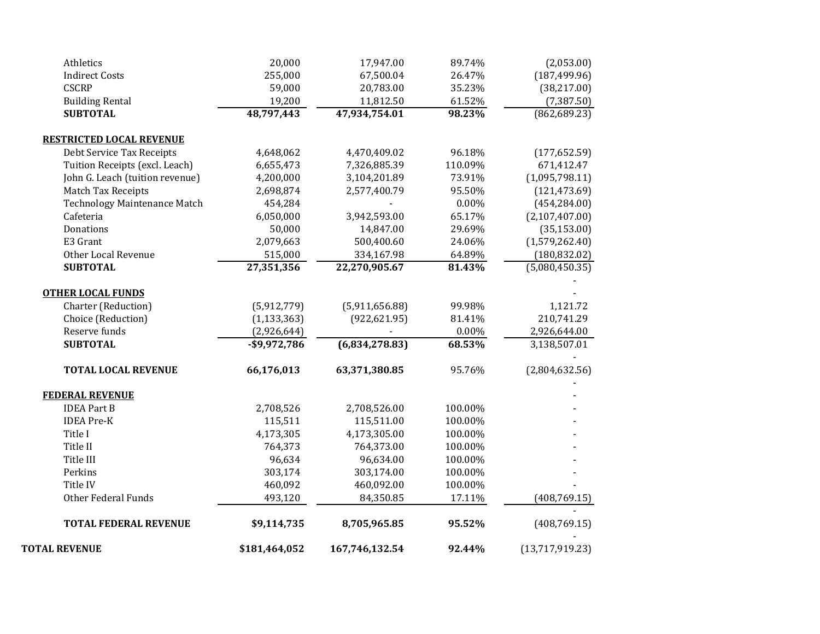| <b>TOTAL REVENUE</b>                                         | \$181,464,052   | 167,746,132.54 | 92.44%   | (13,717,919.23) |
|--------------------------------------------------------------|-----------------|----------------|----------|-----------------|
| <b>TOTAL FEDERAL REVENUE</b>                                 | \$9,114,735     | 8,705,965.85   | 95.52%   | (408, 769.15)   |
| <b>Other Federal Funds</b>                                   | 493,120         | 84,350.85      | 17.11%   | (408, 769.15)   |
| Title IV                                                     | 460,092         | 460,092.00     | 100.00%  |                 |
| Perkins                                                      | 303,174         | 303,174.00     | 100.00%  |                 |
| Title III                                                    | 96,634          | 96,634.00      | 100.00%  |                 |
| Title II                                                     | 764,373         | 764,373.00     | 100.00%  |                 |
| Title I                                                      | 4,173,305       | 4,173,305.00   | 100.00%  |                 |
| <b>IDEA Pre-K</b>                                            | 115,511         | 115,511.00     | 100.00%  |                 |
| <b>IDEA Part B</b>                                           | 2,708,526       | 2,708,526.00   | 100.00%  |                 |
| <b>FEDERAL REVENUE</b>                                       |                 |                |          |                 |
| <b>TOTAL LOCAL REVENUE</b>                                   | 66,176,013      | 63,371,380.85  | 95.76%   | (2,804,632.56)  |
| <b>SUBTOTAL</b>                                              | $-$ \$9,972,786 | (6,834,278.83) | 68.53%   | 3,138,507.01    |
| Reserve funds                                                | (2,926,644)     |                | $0.00\%$ | 2,926,644.00    |
| Choice (Reduction)                                           | (1, 133, 363)   | (922, 621.95)  | 81.41%   | 210,741.29      |
| Charter (Reduction)                                          | (5,912,779)     | (5,911,656.88) | 99.98%   | 1,121.72        |
| <b>OTHER LOCAL FUNDS</b>                                     |                 |                |          |                 |
| <b>SUBTOTAL</b>                                              | 27,351,356      | 22,270,905.67  | 81.43%   | (5,080,450.35)  |
| Other Local Revenue                                          | 515,000         | 334,167.98     | 64.89%   | (180, 832.02)   |
| E3 Grant                                                     | 2,079,663       | 500,400.60     | 24.06%   | (1,579,262.40)  |
| Donations                                                    | 50,000          | 14,847.00      | 29.69%   | (35, 153.00)    |
| Cafeteria                                                    | 6,050,000       | 3,942,593.00   | 65.17%   | (2,107,407.00)  |
| <b>Technology Maintenance Match</b>                          | 454,284         |                | 0.00%    | (454, 284.00)   |
| Match Tax Receipts                                           | 2,698,874       | 2,577,400.79   | 95.50%   | (121, 473.69)   |
| John G. Leach (tuition revenue)                              | 4,200,000       | 3,104,201.89   | 73.91%   | (1,095,798.11)  |
| Tuition Receipts (excl. Leach)                               | 6,655,473       | 7,326,885.39   | 110.09%  | 671,412.47      |
| <b>RESTRICTED LOCAL REVENUE</b><br>Debt Service Tax Receipts | 4,648,062       | 4,470,409.02   | 96.18%   | (177, 652.59)   |
|                                                              |                 |                |          |                 |
| <b>SUBTOTAL</b>                                              | 48,797,443      | 47,934,754.01  | 98.23%   | (862, 689.23)   |
| <b>Building Rental</b>                                       | 19,200          | 11,812.50      | 61.52%   | (7, 387.50)     |
| <b>CSCRP</b>                                                 | 59,000          | 20,783.00      | 35.23%   | (38, 217.00)    |
| <b>Indirect Costs</b>                                        | 255,000         | 67,500.04      | 26.47%   | (187, 499.96)   |
| Athletics                                                    | 20,000          | 17,947.00      | 89.74%   | (2,053.00)      |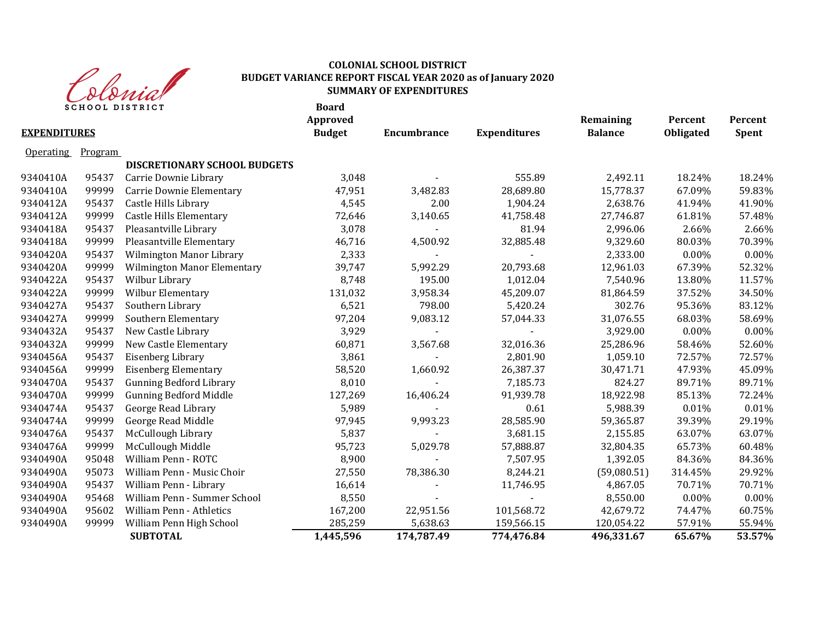

### **COLONIAL SCHOOL DISTRICT BUDGET VARIANCE REPORT FISCAL YEAR 2020 as of January 2020 SUMMARY OF EXPENDITURES**

|                     | <b>SCHOOL DISTRICT</b> |                                     | <b>Board</b><br><b>Approved</b> |                    |                     | Remaining      | Percent   | Percent      |
|---------------------|------------------------|-------------------------------------|---------------------------------|--------------------|---------------------|----------------|-----------|--------------|
| <b>EXPENDITURES</b> |                        |                                     | <b>Budget</b>                   | <b>Encumbrance</b> | <b>Expenditures</b> | <b>Balance</b> | Obligated | <b>Spent</b> |
| <b>Operating</b>    | Program                |                                     |                                 |                    |                     |                |           |              |
|                     |                        | <b>DISCRETIONARY SCHOOL BUDGETS</b> |                                 |                    |                     |                |           |              |
| 9340410A            | 95437                  | Carrie Downie Library               | 3,048                           |                    | 555.89              | 2,492.11       | 18.24%    | 18.24%       |
| 9340410A            | 99999                  | Carrie Downie Elementary            | 47,951                          | 3,482.83           | 28,689.80           | 15,778.37      | 67.09%    | 59.83%       |
| 9340412A            | 95437                  | Castle Hills Library                | 4,545                           | 2.00               | 1,904.24            | 2,638.76       | 41.94%    | 41.90%       |
| 9340412A            | 99999                  | <b>Castle Hills Elementary</b>      | 72,646                          | 3,140.65           | 41,758.48           | 27,746.87      | 61.81%    | 57.48%       |
| 9340418A            | 95437                  | Pleasantville Library               | 3,078                           |                    | 81.94               | 2,996.06       | 2.66%     | 2.66%        |
| 9340418A            | 99999                  | Pleasantville Elementary            | 46,716                          | 4,500.92           | 32,885.48           | 9,329.60       | 80.03%    | 70.39%       |
| 9340420A            | 95437                  | Wilmington Manor Library            | 2,333                           |                    |                     | 2,333.00       | $0.00\%$  | 0.00%        |
| 9340420A            | 99999                  | <b>Wilmington Manor Elementary</b>  | 39,747                          | 5,992.29           | 20,793.68           | 12,961.03      | 67.39%    | 52.32%       |
| 9340422A            | 95437                  | Wilbur Library                      | 8,748                           | 195.00             | 1,012.04            | 7,540.96       | 13.80%    | 11.57%       |
| 9340422A            | 99999                  | <b>Wilbur Elementary</b>            | 131,032                         | 3,958.34           | 45,209.07           | 81,864.59      | 37.52%    | 34.50%       |
| 9340427A            | 95437                  | Southern Library                    | 6,521                           | 798.00             | 5,420.24            | 302.76         | 95.36%    | 83.12%       |
| 9340427A            | 99999                  | Southern Elementary                 | 97,204                          | 9,083.12           | 57,044.33           | 31,076.55      | 68.03%    | 58.69%       |
| 9340432A            | 95437                  | New Castle Library                  | 3,929                           |                    |                     | 3,929.00       | $0.00\%$  | 0.00%        |
| 9340432A            | 99999                  | New Castle Elementary               | 60,871                          | 3,567.68           | 32,016.36           | 25,286.96      | 58.46%    | 52.60%       |
| 9340456A            | 95437                  | Eisenberg Library                   | 3,861                           |                    | 2,801.90            | 1,059.10       | 72.57%    | 72.57%       |
| 9340456A            | 99999                  | <b>Eisenberg Elementary</b>         | 58,520                          | 1,660.92           | 26,387.37           | 30,471.71      | 47.93%    | 45.09%       |
| 9340470A            | 95437                  | <b>Gunning Bedford Library</b>      | 8,010                           |                    | 7,185.73            | 824.27         | 89.71%    | 89.71%       |
| 9340470A            | 99999                  | <b>Gunning Bedford Middle</b>       | 127,269                         | 16,406.24          | 91,939.78           | 18,922.98      | 85.13%    | 72.24%       |
| 9340474A            | 95437                  | George Read Library                 | 5,989                           |                    | 0.61                | 5,988.39       | 0.01%     | 0.01%        |
| 9340474A            | 99999                  | George Read Middle                  | 97,945                          | 9,993.23           | 28,585.90           | 59,365.87      | 39.39%    | 29.19%       |
| 9340476A            | 95437                  | McCullough Library                  | 5,837                           |                    | 3,681.15            | 2,155.85       | 63.07%    | 63.07%       |
| 9340476A            | 99999                  | McCullough Middle                   | 95,723                          | 5,029.78           | 57,888.87           | 32,804.35      | 65.73%    | 60.48%       |
| 9340490A            | 95048                  | William Penn - ROTC                 | 8,900                           |                    | 7,507.95            | 1,392.05       | 84.36%    | 84.36%       |
| 9340490A            | 95073                  | William Penn - Music Choir          | 27,550                          | 78,386.30          | 8,244.21            | (59,080.51)    | 314.45%   | 29.92%       |
| 9340490A            | 95437                  | William Penn - Library              | 16,614                          |                    | 11,746.95           | 4,867.05       | 70.71%    | 70.71%       |
| 9340490A            | 95468                  | William Penn - Summer School        | 8,550                           |                    |                     | 8,550.00       | 0.00%     | 0.00%        |
| 9340490A            | 95602                  | William Penn - Athletics            | 167,200                         | 22,951.56          | 101,568.72          | 42,679.72      | 74.47%    | 60.75%       |
| 9340490A            | 99999                  | William Penn High School            | 285,259                         | 5,638.63           | 159,566.15          | 120,054.22     | 57.91%    | 55.94%       |
|                     |                        | <b>SUBTOTAL</b>                     | 1,445,596                       | 174,787.49         | 774,476.84          | 496,331.67     | 65.67%    | 53.57%       |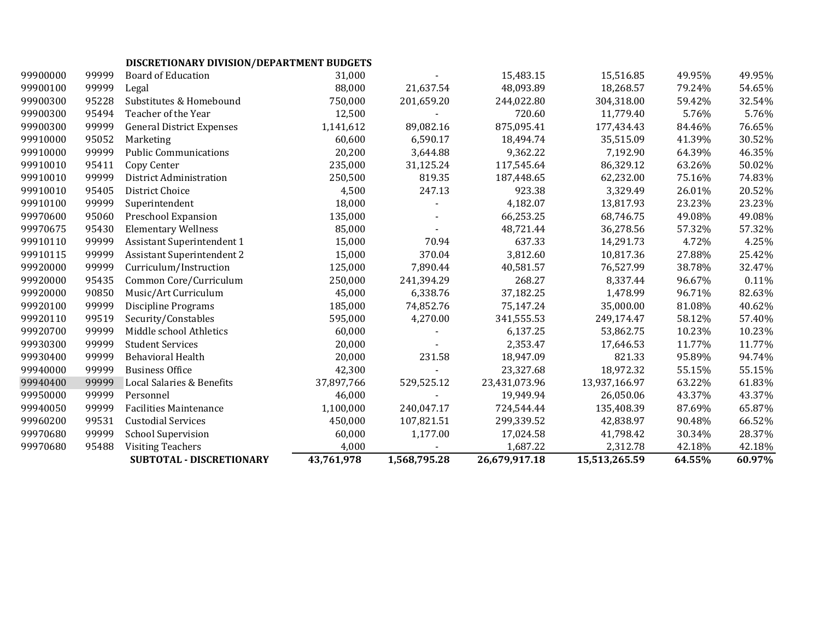# **DISCRETIONARY DIVISION/DEPARTMENT BUDGETS**

|          |       | SUBTOTAL - DISCRETIONARY          | 43,761,978 | 1,568,795.28 | 26,679,917.18 | 15,513,265.59 | 64.55% | 60.97% |
|----------|-------|-----------------------------------|------------|--------------|---------------|---------------|--------|--------|
| 99970680 | 95488 | <b>Visiting Teachers</b>          | 4,000      |              | 1,687.22      | 2,312.78      | 42.18% | 42.18% |
| 99970680 | 99999 | <b>School Supervision</b>         | 60,000     | 1,177.00     | 17,024.58     | 41,798.42     | 30.34% | 28.37% |
| 99960200 | 99531 | <b>Custodial Services</b>         | 450,000    | 107,821.51   | 299,339.52    | 42,838.97     | 90.48% | 66.52% |
| 99940050 | 99999 | <b>Facilities Maintenance</b>     | 1,100,000  | 240,047.17   | 724,544.44    | 135,408.39    | 87.69% | 65.87% |
| 99950000 | 99999 | Personnel                         | 46,000     |              | 19,949.94     | 26,050.06     | 43.37% | 43.37% |
| 99940400 | 99999 | Local Salaries & Benefits         | 37,897,766 | 529,525.12   | 23,431,073.96 | 13,937,166.97 | 63.22% | 61.83% |
| 99940000 | 99999 | <b>Business Office</b>            | 42,300     |              | 23,327.68     | 18,972.32     | 55.15% | 55.15% |
| 99930400 | 99999 | Behavioral Health                 | 20,000     | 231.58       | 18,947.09     | 821.33        | 95.89% | 94.74% |
| 99930300 | 99999 | <b>Student Services</b>           | 20,000     |              | 2,353.47      | 17,646.53     | 11.77% | 11.77% |
| 99920700 | 99999 | Middle school Athletics           | 60,000     |              | 6,137.25      | 53,862.75     | 10.23% | 10.23% |
| 99920110 | 99519 | Security/Constables               | 595,000    | 4,270.00     | 341,555.53    | 249,174.47    | 58.12% | 57.40% |
| 99920100 | 99999 | <b>Discipline Programs</b>        | 185,000    | 74,852.76    | 75,147.24     | 35,000.00     | 81.08% | 40.62% |
| 99920000 | 90850 | Music/Art Curriculum              | 45,000     | 6,338.76     | 37,182.25     | 1,478.99      | 96.71% | 82.63% |
| 99920000 | 95435 | Common Core/Curriculum            | 250,000    | 241,394.29   | 268.27        | 8,337.44      | 96.67% | 0.11%  |
| 99920000 | 99999 | Curriculum/Instruction            | 125,000    | 7,890.44     | 40,581.57     | 76,527.99     | 38.78% | 32.47% |
| 99910115 | 99999 | <b>Assistant Superintendent 2</b> | 15,000     | 370.04       | 3,812.60      | 10,817.36     | 27.88% | 25.42% |
| 99910110 | 99999 | <b>Assistant Superintendent 1</b> | 15,000     | 70.94        | 637.33        | 14,291.73     | 4.72%  | 4.25%  |
| 99970675 | 95430 | <b>Elementary Wellness</b>        | 85,000     |              | 48,721.44     | 36,278.56     | 57.32% | 57.32% |
| 99970600 | 95060 | Preschool Expansion               | 135,000    |              | 66,253.25     | 68,746.75     | 49.08% | 49.08% |
| 99910100 | 99999 | Superintendent                    | 18,000     |              | 4,182.07      | 13,817.93     | 23.23% | 23.23% |
| 99910010 | 95405 | <b>District Choice</b>            | 4,500      | 247.13       | 923.38        | 3,329.49      | 26.01% | 20.52% |
| 99910010 | 99999 | District Administration           | 250,500    | 819.35       | 187,448.65    | 62,232.00     | 75.16% | 74.83% |
| 99910010 | 95411 | Copy Center                       | 235,000    | 31,125.24    | 117,545.64    | 86,329.12     | 63.26% | 50.02% |
| 99910000 | 99999 | <b>Public Communications</b>      | 20,200     | 3,644.88     | 9,362.22      | 7,192.90      | 64.39% | 46.35% |
| 99910000 | 95052 | Marketing                         | 60,600     | 6,590.17     | 18,494.74     | 35,515.09     | 41.39% | 30.52% |
| 99900300 | 99999 | <b>General District Expenses</b>  | 1,141,612  | 89,082.16    | 875,095.41    | 177,434.43    | 84.46% | 76.65% |
| 99900300 | 95494 | Teacher of the Year               | 12,500     |              | 720.60        | 11,779.40     | 5.76%  | 5.76%  |
| 99900300 | 95228 | Substitutes & Homebound           | 750,000    | 201,659.20   | 244,022.80    | 304,318.00    | 59.42% | 32.54% |
| 99900100 | 99999 | Legal                             | 88,000     | 21,637.54    | 48,093.89     | 18,268.57     | 79.24% | 54.65% |
| 99900000 | 99999 | <b>Board of Education</b>         | 31,000     |              | 15,483.15     | 15,516.85     | 49.95% | 49.95% |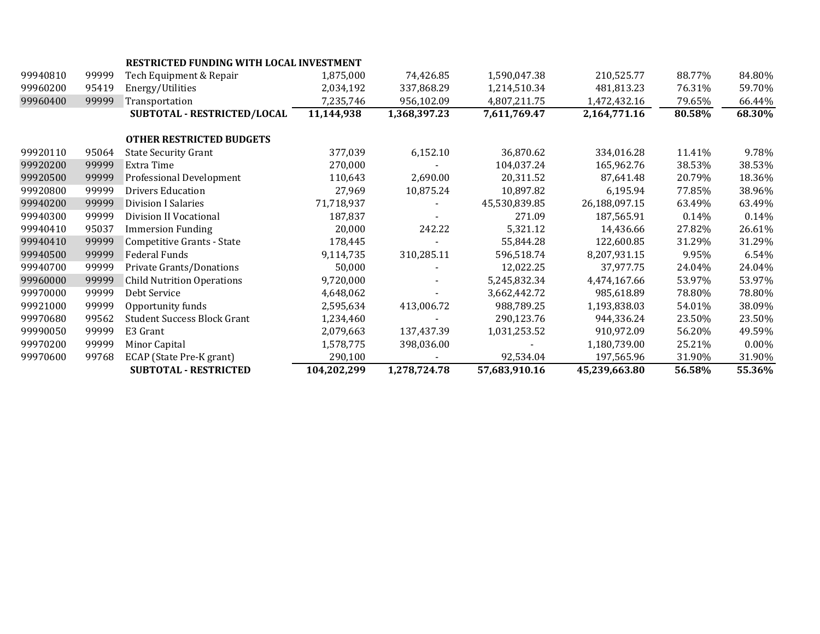|          |       | RESTRICTED FUNDING WITH LOCAL INVESTMENT |             |              |               |               |        |          |
|----------|-------|------------------------------------------|-------------|--------------|---------------|---------------|--------|----------|
| 99940810 | 99999 | Tech Equipment & Repair                  | 1,875,000   | 74,426.85    | 1,590,047.38  | 210,525.77    | 88.77% | 84.80%   |
| 99960200 | 95419 | Energy/Utilities                         | 2,034,192   | 337,868.29   | 1,214,510.34  | 481,813.23    | 76.31% | 59.70%   |
| 99960400 | 99999 | Transportation                           | 7,235,746   | 956,102.09   | 4,807,211.75  | 1,472,432.16  | 79.65% | 66.44%   |
|          |       | SUBTOTAL - RESTRICTED/LOCAL              | 11,144,938  | 1,368,397.23 | 7,611,769.47  | 2,164,771.16  | 80.58% | 68.30%   |
|          |       | <b>OTHER RESTRICTED BUDGETS</b>          |             |              |               |               |        |          |
|          |       |                                          |             |              |               |               |        |          |
| 99920110 | 95064 | <b>State Security Grant</b>              | 377,039     | 6,152.10     | 36,870.62     | 334,016.28    | 11.41% | 9.78%    |
| 99920200 | 99999 | Extra Time                               | 270,000     |              | 104,037.24    | 165,962.76    | 38.53% | 38.53%   |
| 99920500 | 99999 | Professional Development                 | 110,643     | 2,690.00     | 20,311.52     | 87,641.48     | 20.79% | 18.36%   |
| 99920800 | 99999 | <b>Drivers Education</b>                 | 27,969      | 10,875.24    | 10,897.82     | 6,195.94      | 77.85% | 38.96%   |
| 99940200 | 99999 | <b>Division I Salaries</b>               | 71,718,937  |              | 45,530,839.85 | 26,188,097.15 | 63.49% | 63.49%   |
| 99940300 | 99999 | Division II Vocational                   | 187,837     |              | 271.09        | 187,565.91    | 0.14%  | 0.14%    |
| 99940410 | 95037 | <b>Immersion Funding</b>                 | 20,000      | 242.22       | 5,321.12      | 14,436.66     | 27.82% | 26.61%   |
| 99940410 | 99999 | Competitive Grants - State               | 178,445     |              | 55,844.28     | 122,600.85    | 31.29% | 31.29%   |
| 99940500 | 99999 | Federal Funds                            | 9,114,735   | 310,285.11   | 596,518.74    | 8,207,931.15  | 9.95%  | 6.54%    |
| 99940700 | 99999 | Private Grants/Donations                 | 50,000      |              | 12,022.25     | 37,977.75     | 24.04% | 24.04%   |
| 99960000 | 99999 | <b>Child Nutrition Operations</b>        | 9,720,000   |              | 5,245,832.34  | 4,474,167.66  | 53.97% | 53.97%   |
| 99970000 | 99999 | Debt Service                             | 4,648,062   |              | 3,662,442.72  | 985,618.89    | 78.80% | 78.80%   |
| 99921000 | 99999 | Opportunity funds                        | 2,595,634   | 413,006.72   | 988,789.25    | 1,193,838.03  | 54.01% | 38.09%   |
| 99970680 | 99562 | <b>Student Success Block Grant</b>       | 1,234,460   |              | 290,123.76    | 944,336.24    | 23.50% | 23.50%   |
| 99990050 | 99999 | E3 Grant                                 | 2,079,663   | 137,437.39   | 1,031,253.52  | 910,972.09    | 56.20% | 49.59%   |
| 99970200 | 99999 | Minor Capital                            | 1,578,775   | 398,036.00   |               | 1,180,739.00  | 25.21% | $0.00\%$ |
| 99970600 | 99768 | ECAP (State Pre-K grant)                 | 290,100     |              | 92,534.04     | 197,565.96    | 31.90% | 31.90%   |
|          |       | <b>SUBTOTAL - RESTRICTED</b>             | 104,202,299 | 1,278,724.78 | 57,683,910.16 | 45,239,663.80 | 56.58% | 55.36%   |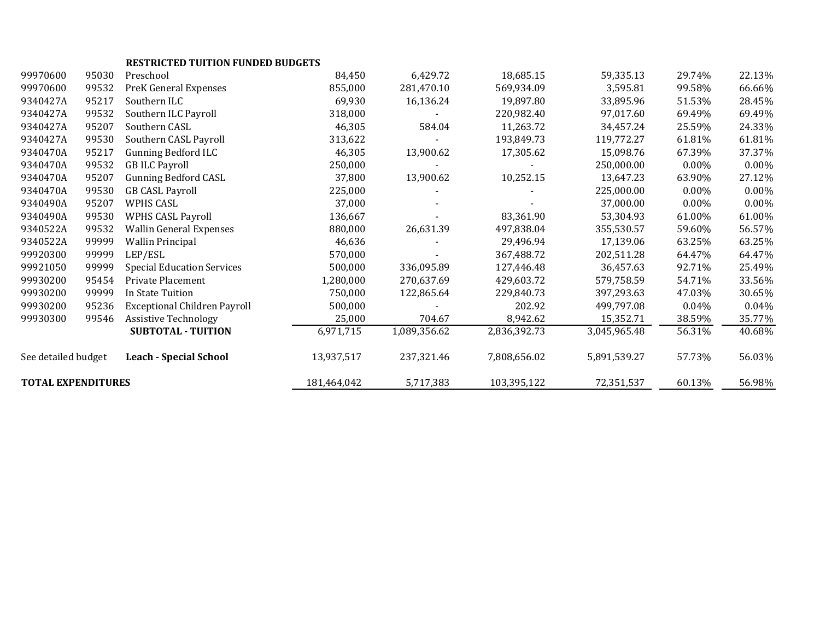|                           |       | <b>RESTRICTED TUITION FUNDED BUDGETS</b> |            |              |              |              |          |          |
|---------------------------|-------|------------------------------------------|------------|--------------|--------------|--------------|----------|----------|
| 99970600                  | 95030 | Preschool                                | 84,450     | 6,429.72     | 18,685.15    | 59,335.13    | 29.74%   | 22.13%   |
| 99970600                  | 99532 | PreK General Expenses                    | 855,000    | 281,470.10   | 569,934.09   | 3,595.81     | 99.58%   | 66.66%   |
| 9340427A                  | 95217 | Southern ILC                             | 69,930     | 16,136.24    | 19.897.80    | 33,895.96    | 51.53%   | 28.45%   |
| 9340427A                  | 99532 | Southern ILC Payroll                     | 318,000    |              | 220,982.40   | 97,017.60    | 69.49%   | 69.49%   |
| 9340427A                  | 95207 | Southern CASL                            | 46,305     | 584.04       | 11,263.72    | 34,457.24    | 25.59%   | 24.33%   |
| 9340427A                  | 99530 | Southern CASL Payroll                    | 313,622    |              | 193,849.73   | 119,772.27   | 61.81%   | 61.81%   |
| 9340470A                  | 95217 | <b>Gunning Bedford ILC</b>               | 46,305     | 13,900.62    | 17,305.62    | 15,098.76    | 67.39%   | 37.37%   |
| 9340470A                  | 99532 | <b>GB ILC Payroll</b>                    | 250,000    |              |              | 250,000.00   | $0.00\%$ | 0.00%    |
| 9340470A                  | 95207 | <b>Gunning Bedford CASL</b>              | 37,800     | 13,900.62    | 10,252.15    | 13,647.23    | 63.90%   | 27.12%   |
| 9340470A                  | 99530 | <b>GB CASL Payroll</b>                   | 225,000    |              |              | 225,000.00   | $0.00\%$ | $0.00\%$ |
| 9340490A                  | 95207 | WPHS CASL                                | 37,000     |              |              | 37,000.00    | $0.00\%$ | $0.00\%$ |
| 9340490A                  | 99530 | <b>WPHS CASL Payroll</b>                 | 136,667    |              | 83,361.90    | 53,304.93    | 61.00%   | 61.00%   |
| 9340522A                  | 99532 | <b>Wallin General Expenses</b>           | 880,000    | 26,631.39    | 497,838.04   | 355,530.57   | 59.60%   | 56.57%   |
| 9340522A                  | 99999 | <b>Wallin Principal</b>                  | 46,636     |              | 29,496.94    | 17,139.06    | 63.25%   | 63.25%   |
| 99920300                  | 99999 | LEP/ESL                                  | 570,000    |              | 367,488.72   | 202,511.28   | 64.47%   | 64.47%   |
| 99921050                  | 99999 | <b>Special Education Services</b>        | 500,000    | 336,095.89   | 127,446.48   | 36,457.63    | 92.71%   | 25.49%   |
| 99930200                  | 95454 | Private Placement                        | 1,280,000  | 270,637.69   | 429,603.72   | 579,758.59   | 54.71%   | 33.56%   |
| 99930200                  | 99999 | In State Tuition                         | 750,000    | 122,865.64   | 229,840.73   | 397,293.63   | 47.03%   | 30.65%   |
| 99930200                  | 95236 | <b>Exceptional Children Payroll</b>      | 500,000    |              | 202.92       | 499,797.08   | 0.04%    | 0.04%    |
| 99930300                  | 99546 | <b>Assistive Technology</b>              | 25,000     | 704.67       | 8,942.62     | 15,352.71    | 38.59%   | 35.77%   |
|                           |       | <b>SUBTOTAL - TUITION</b>                | 6,971,715  | 1,089,356.62 | 2,836,392.73 | 3,045,965.48 | 56.31%   | 40.68%   |
| See detailed budget       |       | <b>Leach - Special School</b>            | 13,937,517 | 237,321.46   | 7,808,656.02 | 5,891,539.27 | 57.73%   | 56.03%   |
| <b>TOTAL EXPENDITURES</b> |       | 181,464,042                              | 5,717,383  | 103,395,122  | 72,351,537   | 60.13%       | 56.98%   |          |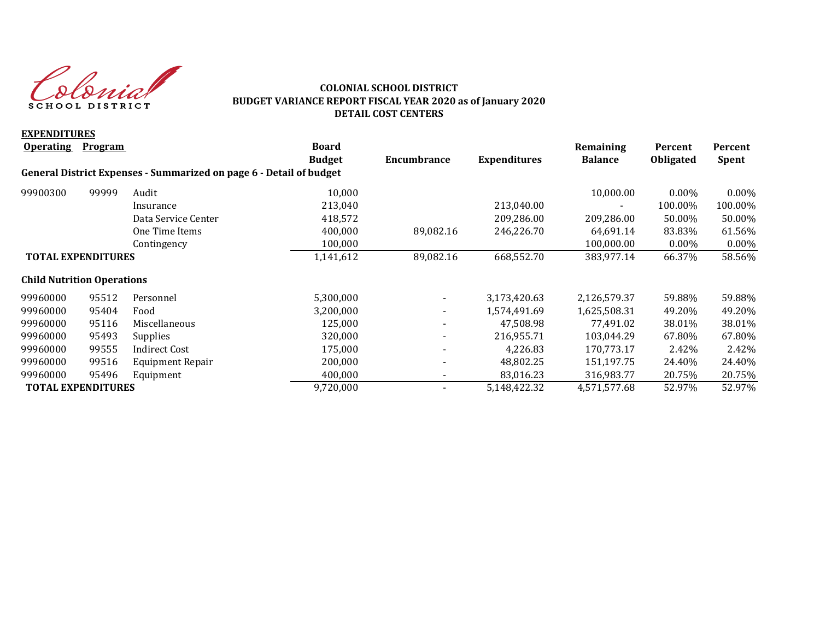donial SCHOOL DISTRICT

### **COLONIAL SCHOOL DISTRICT BUDGET VARIANCE REPORT FISCAL YEAR 2020 as of January 2020 DETAIL COST CENTERS**

| <b>EXPENDITURES</b>               |                |                                                                     |               |                          |                     |                |                  |              |
|-----------------------------------|----------------|---------------------------------------------------------------------|---------------|--------------------------|---------------------|----------------|------------------|--------------|
| <b>Operating</b>                  | <b>Program</b> |                                                                     | <b>Board</b>  |                          |                     | Remaining      | Percent          | Percent      |
|                                   |                |                                                                     | <b>Budget</b> | Encumbrance              | <b>Expenditures</b> | <b>Balance</b> | <b>Obligated</b> | <b>Spent</b> |
|                                   |                | General District Expenses - Summarized on page 6 - Detail of budget |               |                          |                     |                |                  |              |
| 99900300                          | 99999          | Audit                                                               | 10,000        |                          |                     | 10,000.00      | $0.00\%$         | $0.00\%$     |
|                                   |                | Insurance                                                           | 213,040       |                          | 213,040.00          |                | 100.00%          | 100.00%      |
|                                   |                | Data Service Center                                                 | 418,572       |                          | 209,286.00          | 209,286.00     | 50.00%           | 50.00%       |
|                                   |                | One Time Items                                                      | 400,000       | 89,082.16                | 246,226.70          | 64,691.14      | 83.83%           | 61.56%       |
|                                   |                | Contingency                                                         | 100,000       |                          |                     | 100,000.00     | $0.00\%$         | 0.00%        |
| <b>TOTAL EXPENDITURES</b>         |                | 1,141,612                                                           | 89,082.16     | 668,552.70               | 383,977.14          | 66.37%         | 58.56%           |              |
| <b>Child Nutrition Operations</b> |                |                                                                     |               |                          |                     |                |                  |              |
| 99960000                          | 95512          | Personnel                                                           | 5,300,000     |                          | 3,173,420.63        | 2,126,579.37   | 59.88%           | 59.88%       |
| 99960000                          | 95404          | Food                                                                | 3,200,000     | $\overline{\phantom{a}}$ | 1,574,491.69        | 1,625,508.31   | 49.20%           | 49.20%       |
| 99960000                          | 95116          | Miscellaneous                                                       | 125,000       |                          | 47,508.98           | 77,491.02      | 38.01%           | 38.01%       |
| 99960000                          | 95493          | <b>Supplies</b>                                                     | 320,000       | Ξ.                       | 216,955.71          | 103,044.29     | 67.80%           | 67.80%       |
| 99960000                          | 99555          | <b>Indirect Cost</b>                                                | 175,000       |                          | 4,226.83            | 170,773.17     | 2.42%            | 2.42%        |
| 99960000                          | 99516          | Equipment Repair                                                    | 200,000       |                          | 48,802.25           | 151,197.75     | 24.40%           | 24.40%       |
| 99960000                          | 95496          | Equipment                                                           | 400,000       |                          | 83,016.23           | 316,983.77     | 20.75%           | 20.75%       |
| <b>TOTAL EXPENDITURES</b>         |                |                                                                     | 9,720,000     |                          | 5,148,422.32        | 4,571,577.68   | 52.97%           | 52.97%       |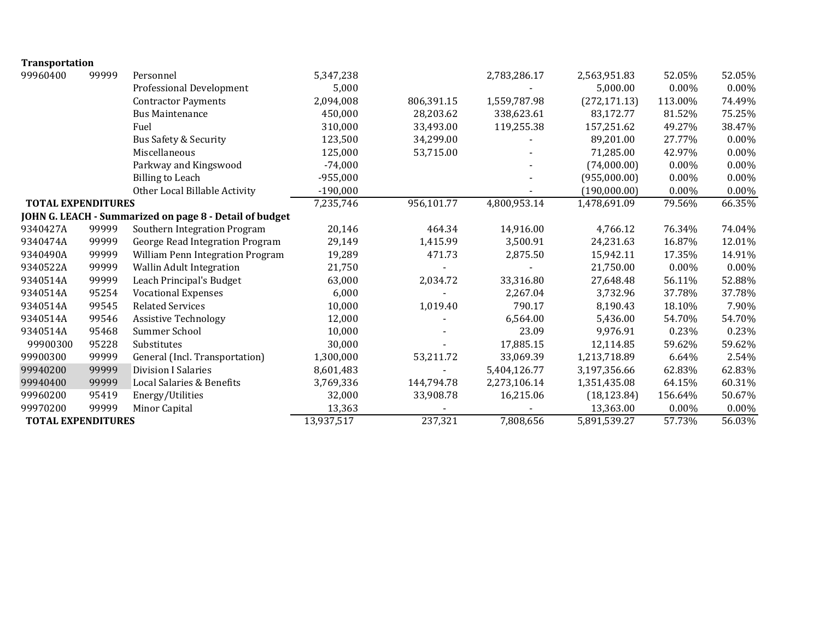| <b>Transportation</b>     |       |                                                         |            |            |              |               |          |          |
|---------------------------|-------|---------------------------------------------------------|------------|------------|--------------|---------------|----------|----------|
| 99960400                  | 99999 | Personnel                                               | 5,347,238  |            | 2,783,286.17 | 2,563,951.83  | 52.05%   | 52.05%   |
|                           |       | <b>Professional Development</b>                         | 5,000      |            |              | 5,000.00      | 0.00%    | 0.00%    |
|                           |       | <b>Contractor Payments</b>                              | 2,094,008  | 806,391.15 | 1,559,787.98 | (272, 171.13) | 113.00%  | 74.49%   |
|                           |       | <b>Bus Maintenance</b>                                  | 450,000    | 28,203.62  | 338,623.61   | 83,172.77     | 81.52%   | 75.25%   |
|                           |       | Fuel                                                    | 310,000    | 33,493.00  | 119,255.38   | 157,251.62    | 49.27%   | 38.47%   |
|                           |       | <b>Bus Safety &amp; Security</b>                        | 123,500    | 34,299.00  |              | 89,201.00     | 27.77%   | 0.00%    |
|                           |       | Miscellaneous                                           | 125,000    | 53,715.00  |              | 71,285.00     | 42.97%   | $0.00\%$ |
|                           |       | Parkway and Kingswood                                   | $-74,000$  |            |              | (74,000.00)   | $0.00\%$ | $0.00\%$ |
|                           |       | <b>Billing to Leach</b>                                 | $-955,000$ |            |              | (955,000.00)  | 0.00%    | 0.00%    |
|                           |       | Other Local Billable Activity                           | $-190,000$ |            |              | (190,000.00)  | 0.00%    | $0.00\%$ |
| <b>TOTAL EXPENDITURES</b> |       |                                                         | 7,235,746  | 956,101.77 | 4,800,953.14 | 1,478,691.09  | 79.56%   | 66.35%   |
|                           |       | JOHN G. LEACH - Summarized on page 8 - Detail of budget |            |            |              |               |          |          |
| 9340427A                  | 99999 | Southern Integration Program                            | 20,146     | 464.34     | 14,916.00    | 4,766.12      | 76.34%   | 74.04%   |
| 9340474A                  | 99999 | George Read Integration Program                         | 29,149     | 1,415.99   | 3,500.91     | 24,231.63     | 16.87%   | 12.01%   |
| 9340490A                  | 99999 | William Penn Integration Program                        | 19,289     | 471.73     | 2,875.50     | 15,942.11     | 17.35%   | 14.91%   |
| 9340522A                  | 99999 | Wallin Adult Integration                                | 21,750     |            |              | 21,750.00     | 0.00%    | 0.00%    |
| 9340514A                  | 99999 | Leach Principal's Budget                                | 63,000     | 2,034.72   | 33,316.80    | 27,648.48     | 56.11%   | 52.88%   |
| 9340514A                  | 95254 | <b>Vocational Expenses</b>                              | 6,000      |            | 2,267.04     | 3,732.96      | 37.78%   | 37.78%   |
| 9340514A                  | 99545 | <b>Related Services</b>                                 | 10,000     | 1,019.40   | 790.17       | 8,190.43      | 18.10%   | 7.90%    |
| 9340514A                  | 99546 | <b>Assistive Technology</b>                             | 12,000     |            | 6,564.00     | 5,436.00      | 54.70%   | 54.70%   |
| 9340514A                  | 95468 | Summer School                                           | 10,000     |            | 23.09        | 9,976.91      | 0.23%    | 0.23%    |
| 99900300                  | 95228 | Substitutes                                             | 30,000     |            | 17,885.15    | 12,114.85     | 59.62%   | 59.62%   |
| 99900300                  | 99999 | General (Incl. Transportation)                          | 1,300,000  | 53,211.72  | 33,069.39    | 1,213,718.89  | 6.64%    | 2.54%    |
| 99940200                  | 99999 | <b>Division I Salaries</b>                              | 8,601,483  |            | 5,404,126.77 | 3,197,356.66  | 62.83%   | 62.83%   |
| 99940400                  | 99999 | Local Salaries & Benefits                               | 3,769,336  | 144,794.78 | 2,273,106.14 | 1,351,435.08  | 64.15%   | 60.31%   |
| 99960200                  | 95419 | Energy/Utilities                                        | 32,000     | 33,908.78  | 16,215.06    | (18, 123.84)  | 156.64%  | 50.67%   |
| 99970200                  | 99999 | Minor Capital                                           | 13,363     |            |              | 13,363.00     | 0.00%    | 0.00%    |
| <b>TOTAL EXPENDITURES</b> |       |                                                         | 13,937,517 | 237,321    | 7,808,656    | 5,891,539.27  | 57.73%   | 56.03%   |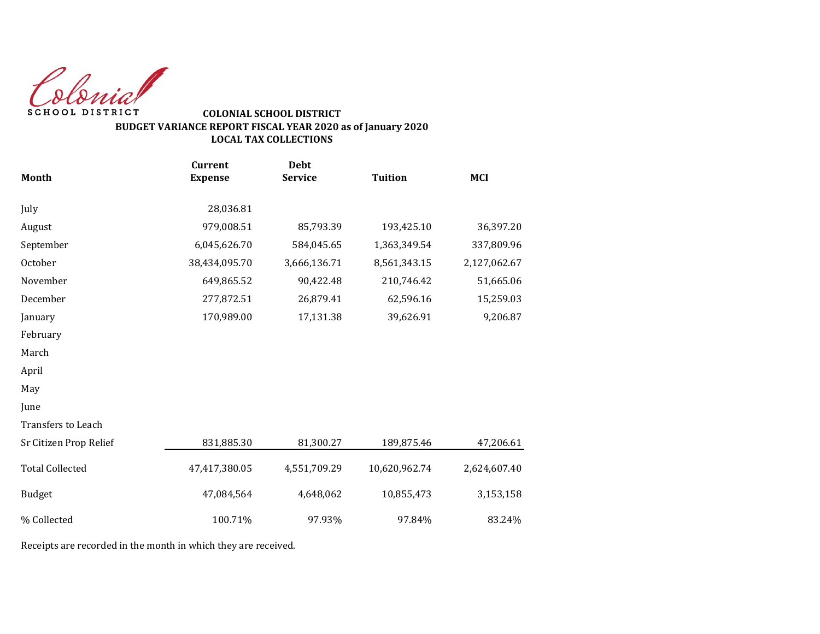Colonial SCHOOL DISTRICT

## **COLONIAL SCHOOL DISTRICT BUDGET VARIANCE REPORT FISCAL YEAR 2020 as of January 2020 LOCAL TAX COLLECTIONS**

|                        | <b>Current</b> | <b>Debt</b>    |                |              |
|------------------------|----------------|----------------|----------------|--------------|
| <b>Month</b>           | <b>Expense</b> | <b>Service</b> | <b>Tuition</b> | <b>MCI</b>   |
| July                   | 28,036.81      |                |                |              |
| August                 | 979,008.51     | 85,793.39      | 193,425.10     | 36,397.20    |
| September              | 6,045,626.70   | 584,045.65     | 1,363,349.54   | 337,809.96   |
| October                | 38,434,095.70  | 3,666,136.71   | 8,561,343.15   | 2,127,062.67 |
| November               | 649,865.52     | 90,422.48      | 210,746.42     | 51,665.06    |
| December               | 277,872.51     | 26,879.41      | 62,596.16      | 15,259.03    |
| January                | 170,989.00     | 17,131.38      | 39,626.91      | 9,206.87     |
| February               |                |                |                |              |
| March                  |                |                |                |              |
| April                  |                |                |                |              |
| May                    |                |                |                |              |
| June                   |                |                |                |              |
| Transfers to Leach     |                |                |                |              |
| Sr Citizen Prop Relief | 831,885.30     | 81,300.27      | 189,875.46     | 47,206.61    |
| <b>Total Collected</b> | 47,417,380.05  | 4,551,709.29   | 10,620,962.74  | 2,624,607.40 |
| <b>Budget</b>          | 47,084,564     | 4,648,062      | 10,855,473     | 3,153,158    |
| % Collected            | 100.71%        | 97.93%         | 97.84%         | 83.24%       |

Receipts are recorded in the month in which they are received.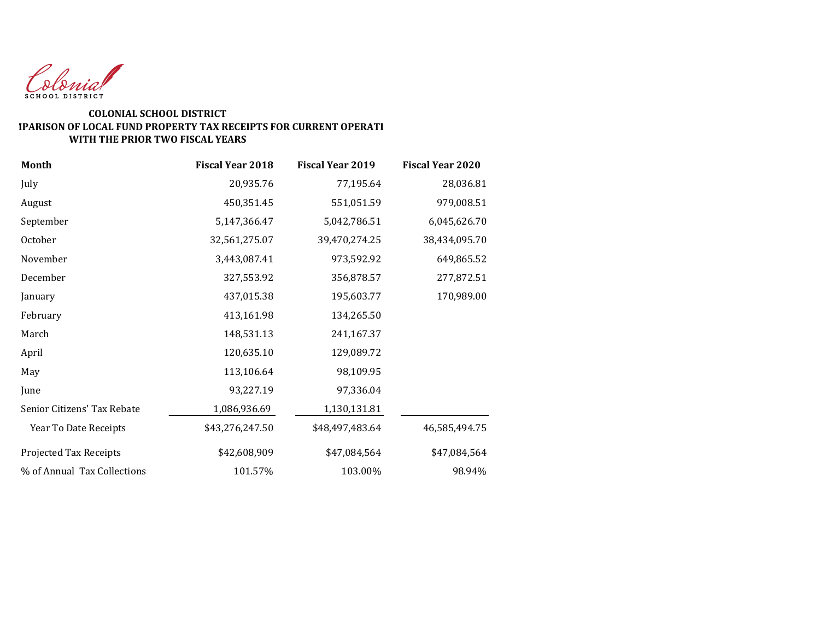

#### **COLONIAL SCHOOL DISTRICT COMPARISON OF LOCAL FUND PROPERTY TAX RECEIPTS FOR CURRENT OPERATI WITH THE PRIOR TWO FISCAL YEARS**

| Month                       | <b>Fiscal Year 2018</b> | <b>Fiscal Year 2019</b> | <b>Fiscal Year 2020</b> |
|-----------------------------|-------------------------|-------------------------|-------------------------|
| July                        | 20,935.76               | 77,195.64               | 28,036.81               |
| August                      | 450,351.45              | 551,051.59              | 979,008.51              |
| September                   | 5,147,366.47            | 5,042,786.51            | 6,045,626.70            |
| October                     | 32,561,275.07           | 39,470,274.25           | 38,434,095.70           |
| November                    | 3,443,087.41            | 973,592.92              | 649,865.52              |
| December                    | 327,553.92              | 356,878.57              | 277,872.51              |
| January                     | 437,015.38              | 195,603.77              | 170,989.00              |
| February                    | 413,161.98              | 134,265.50              |                         |
| March                       | 148,531.13              | 241,167.37              |                         |
| April                       | 120,635.10              | 129,089.72              |                         |
| May                         | 113,106.64              | 98,109.95               |                         |
| June                        | 93,227.19               | 97,336.04               |                         |
| Senior Citizens' Tax Rebate | 1,086,936.69            | 1,130,131.81            |                         |
| Year To Date Receipts       | \$43,276,247.50         | \$48,497,483.64         | 46,585,494.75           |
| Projected Tax Receipts      | \$42,608,909            | \$47,084,564            | \$47,084,564            |
| % of Annual Tax Collections | 101.57%                 | 103.00%                 | 98.94%                  |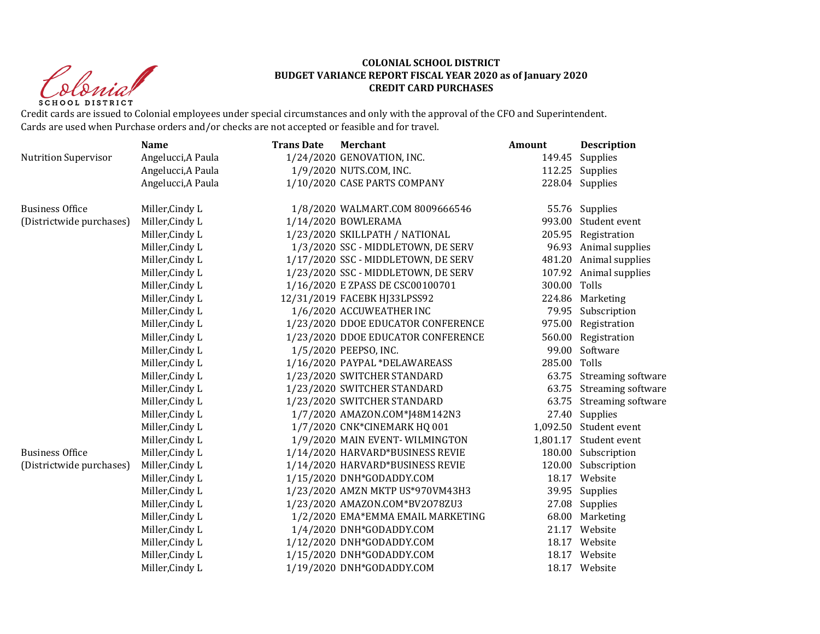Clonial **SCHOOL DISTRICT** 

#### **COLONIAL SCHOOL DISTRICT BUDGET VARIANCE REPORT FISCAL YEAR 2020 as of January 2020 CREDIT CARD PURCHASES**

Credit cards are issued to Colonial employees under special circumstances and only with the approval of the CFO and Superintendent. Cards are used when Purchase orders and/or checks are not accepted or feasible and for travel.

|                             | <b>Name</b>        | <b>Trans Date</b> | <b>Merchant</b>                     | Amount       | <b>Description</b>       |
|-----------------------------|--------------------|-------------------|-------------------------------------|--------------|--------------------------|
| <b>Nutrition Supervisor</b> | Angelucci, A Paula |                   | 1/24/2020 GENOVATION, INC.          | 149.45       | Supplies                 |
|                             | Angelucci, A Paula |                   | 1/9/2020 NUTS.COM, INC.             |              | 112.25 Supplies          |
|                             | Angelucci, A Paula |                   | 1/10/2020 CASE PARTS COMPANY        |              | 228.04 Supplies          |
| <b>Business Office</b>      | Miller, Cindy L    |                   | 1/8/2020 WALMART.COM 8009666546     |              | 55.76 Supplies           |
| (Districtwide purchases)    | Miller, Cindy L    |                   | 1/14/2020 BOWLERAMA                 | 993.00       | Student event            |
|                             | Miller, Cindy L    |                   | 1/23/2020 SKILLPATH / NATIONAL      |              | 205.95 Registration      |
|                             | Miller, Cindy L    |                   | 1/3/2020 SSC - MIDDLETOWN, DE SERV  |              | 96.93 Animal supplies    |
|                             | Miller, Cindy L    |                   | 1/17/2020 SSC - MIDDLETOWN, DE SERV |              | 481.20 Animal supplies   |
|                             | Miller, Cindy L    |                   | 1/23/2020 SSC - MIDDLETOWN, DE SERV |              | 107.92 Animal supplies   |
|                             | Miller, Cindy L    |                   | 1/16/2020 E ZPASS DE CSC00100701    | 300.00 Tolls |                          |
|                             | Miller, Cindy L    |                   | 12/31/2019 FACEBK HJ33LPSS92        |              | 224.86 Marketing         |
|                             | Miller, Cindy L    |                   | 1/6/2020 ACCUWEATHER INC            |              | 79.95 Subscription       |
|                             | Miller, Cindy L    |                   | 1/23/2020 DDOE EDUCATOR CONFERENCE  |              | 975.00 Registration      |
|                             | Miller, Cindy L    |                   | 1/23/2020 DDOE EDUCATOR CONFERENCE  |              | 560.00 Registration      |
|                             | Miller, Cindy L    |                   | 1/5/2020 PEEPSO, INC.               |              | 99.00 Software           |
|                             | Miller, Cindy L    |                   | 1/16/2020 PAYPAL *DELAWAREASS       | 285.00       | Tolls                    |
|                             | Miller, Cindy L    |                   | 1/23/2020 SWITCHER STANDARD         |              | 63.75 Streaming software |
|                             | Miller, Cindy L    |                   | 1/23/2020 SWITCHER STANDARD         | 63.75        | Streaming software       |
|                             | Miller, Cindy L    |                   | 1/23/2020 SWITCHER STANDARD         | 63.75        | Streaming software       |
|                             | Miller, Cindy L    |                   | 1/7/2020 AMAZON.COM*J48M142N3       |              | 27.40 Supplies           |
|                             | Miller, Cindy L    |                   | 1/7/2020 CNK*CINEMARK HQ 001        |              | 1,092.50 Student event   |
|                             | Miller, Cindy L    |                   | 1/9/2020 MAIN EVENT-WILMINGTON      |              | 1,801.17 Student event   |
| <b>Business Office</b>      | Miller, Cindy L    |                   | 1/14/2020 HARVARD*BUSINESS REVIE    |              | 180.00 Subscription      |
| (Districtwide purchases)    | Miller, Cindy L    |                   | 1/14/2020 HARVARD*BUSINESS REVIE    | 120.00       | Subscription             |
|                             | Miller, Cindy L    |                   | 1/15/2020 DNH*GODADDY.COM           |              | 18.17 Website            |
|                             | Miller, Cindy L    |                   | 1/23/2020 AMZN MKTP US*970VM43H3    |              | 39.95 Supplies           |
|                             | Miller, Cindy L    |                   | 1/23/2020 AMAZON.COM*BV2078ZU3      |              | 27.08 Supplies           |
|                             | Miller, Cindy L    |                   | 1/2/2020 EMA*EMMA EMAIL MARKETING   | 68.00        | Marketing                |
|                             | Miller, Cindy L    |                   | 1/4/2020 DNH*GODADDY.COM            |              | 21.17 Website            |
|                             | Miller, Cindy L    |                   | 1/12/2020 DNH*GODADDY.COM           |              | 18.17 Website            |
|                             | Miller, Cindy L    |                   | 1/15/2020 DNH*GODADDY.COM           |              | 18.17 Website            |
|                             | Miller, Cindy L    |                   | 1/19/2020 DNH*GODADDY.COM           |              | 18.17 Website            |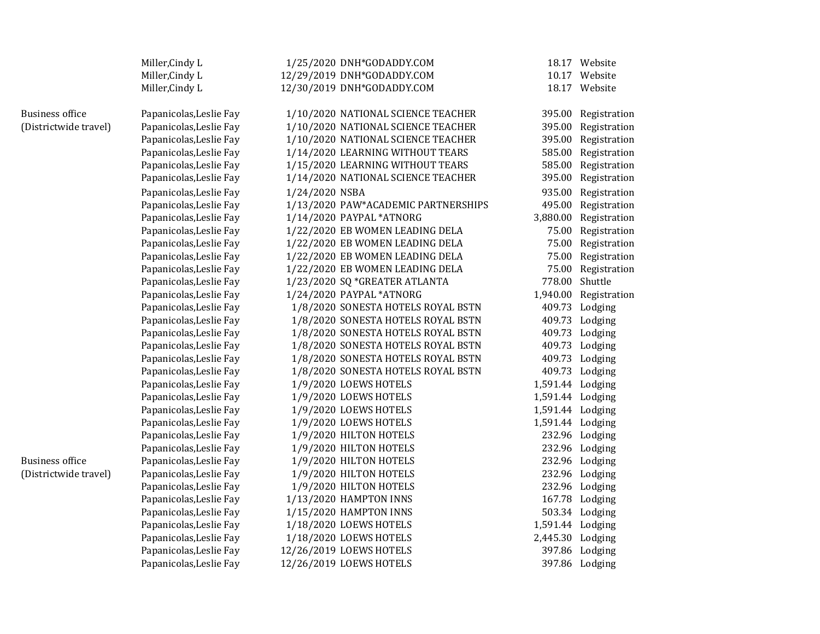|                        | Miller, Cindy L         |                | 1/25/2020 DNH*GODADDY.COM           |                  | 18.17 Website         |
|------------------------|-------------------------|----------------|-------------------------------------|------------------|-----------------------|
|                        | Miller, Cindy L         |                | 12/29/2019 DNH*GODADDY.COM          |                  | 10.17 Website         |
|                        | Miller, Cindy L         |                | 12/30/2019 DNH*GODADDY.COM          |                  | 18.17 Website         |
| <b>Business office</b> | Papanicolas, Leslie Fay |                | 1/10/2020 NATIONAL SCIENCE TEACHER  |                  | 395.00 Registration   |
| (Districtwide travel)  | Papanicolas, Leslie Fay |                | 1/10/2020 NATIONAL SCIENCE TEACHER  |                  | 395.00 Registration   |
|                        | Papanicolas, Leslie Fay |                | 1/10/2020 NATIONAL SCIENCE TEACHER  |                  | 395.00 Registration   |
|                        | Papanicolas, Leslie Fay |                | 1/14/2020 LEARNING WITHOUT TEARS    |                  | 585.00 Registration   |
|                        | Papanicolas, Leslie Fay |                | 1/15/2020 LEARNING WITHOUT TEARS    |                  | 585.00 Registration   |
|                        | Papanicolas, Leslie Fay |                | 1/14/2020 NATIONAL SCIENCE TEACHER  |                  | 395.00 Registration   |
|                        | Papanicolas, Leslie Fay | 1/24/2020 NSBA |                                     |                  | 935.00 Registration   |
|                        | Papanicolas, Leslie Fay |                | 1/13/2020 PAW*ACADEMIC PARTNERSHIPS |                  | 495.00 Registration   |
|                        | Papanicolas, Leslie Fay |                | 1/14/2020 PAYPAL *ATNORG            |                  | 3,880.00 Registration |
|                        | Papanicolas, Leslie Fay |                | 1/22/2020 EB WOMEN LEADING DELA     |                  | 75.00 Registration    |
|                        | Papanicolas, Leslie Fay |                | 1/22/2020 EB WOMEN LEADING DELA     |                  | 75.00 Registration    |
|                        | Papanicolas, Leslie Fay |                | 1/22/2020 EB WOMEN LEADING DELA     |                  | 75.00 Registration    |
|                        | Papanicolas, Leslie Fay |                | 1/22/2020 EB WOMEN LEADING DELA     |                  | 75.00 Registration    |
|                        | Papanicolas, Leslie Fay |                | 1/23/2020 SQ *GREATER ATLANTA       | 778.00 Shuttle   |                       |
|                        | Papanicolas, Leslie Fay |                | 1/24/2020 PAYPAL *ATNORG            |                  | 1,940.00 Registration |
|                        | Papanicolas, Leslie Fay |                | 1/8/2020 SONESTA HOTELS ROYAL BSTN  |                  | 409.73 Lodging        |
|                        | Papanicolas, Leslie Fay |                | 1/8/2020 SONESTA HOTELS ROYAL BSTN  |                  | 409.73 Lodging        |
|                        | Papanicolas, Leslie Fay |                | 1/8/2020 SONESTA HOTELS ROYAL BSTN  |                  | 409.73 Lodging        |
|                        | Papanicolas, Leslie Fay |                | 1/8/2020 SONESTA HOTELS ROYAL BSTN  |                  | 409.73 Lodging        |
|                        | Papanicolas, Leslie Fay |                | 1/8/2020 SONESTA HOTELS ROYAL BSTN  |                  | 409.73 Lodging        |
|                        | Papanicolas, Leslie Fay |                | 1/8/2020 SONESTA HOTELS ROYAL BSTN  |                  | 409.73 Lodging        |
|                        | Papanicolas, Leslie Fay |                | 1/9/2020 LOEWS HOTELS               | 1,591.44 Lodging |                       |
|                        | Papanicolas, Leslie Fay |                | 1/9/2020 LOEWS HOTELS               | 1,591.44 Lodging |                       |
|                        | Papanicolas, Leslie Fay |                | 1/9/2020 LOEWS HOTELS               | 1,591.44 Lodging |                       |
|                        | Papanicolas, Leslie Fay |                | 1/9/2020 LOEWS HOTELS               | 1,591.44 Lodging |                       |
|                        | Papanicolas, Leslie Fay |                | 1/9/2020 HILTON HOTELS              |                  | 232.96 Lodging        |
|                        | Papanicolas, Leslie Fay |                | 1/9/2020 HILTON HOTELS              |                  | 232.96 Lodging        |
| <b>Business office</b> | Papanicolas, Leslie Fay |                | 1/9/2020 HILTON HOTELS              |                  | 232.96 Lodging        |
| (Districtwide travel)  | Papanicolas, Leslie Fay |                | 1/9/2020 HILTON HOTELS              |                  | 232.96 Lodging        |
|                        | Papanicolas, Leslie Fay |                | 1/9/2020 HILTON HOTELS              |                  | 232.96 Lodging        |
|                        | Papanicolas, Leslie Fay |                | 1/13/2020 HAMPTON INNS              |                  | 167.78 Lodging        |
|                        | Papanicolas, Leslie Fay |                | 1/15/2020 HAMPTON INNS              |                  | 503.34 Lodging        |
|                        | Papanicolas, Leslie Fay |                | 1/18/2020 LOEWS HOTELS              | 1,591.44 Lodging |                       |
|                        | Papanicolas, Leslie Fay |                | 1/18/2020 LOEWS HOTELS              | 2,445.30 Lodging |                       |
|                        | Papanicolas, Leslie Fay |                | 12/26/2019 LOEWS HOTELS             |                  | 397.86 Lodging        |
|                        | Papanicolas, Leslie Fay |                | 12/26/2019 LOEWS HOTELS             |                  | 397.86 Lodging        |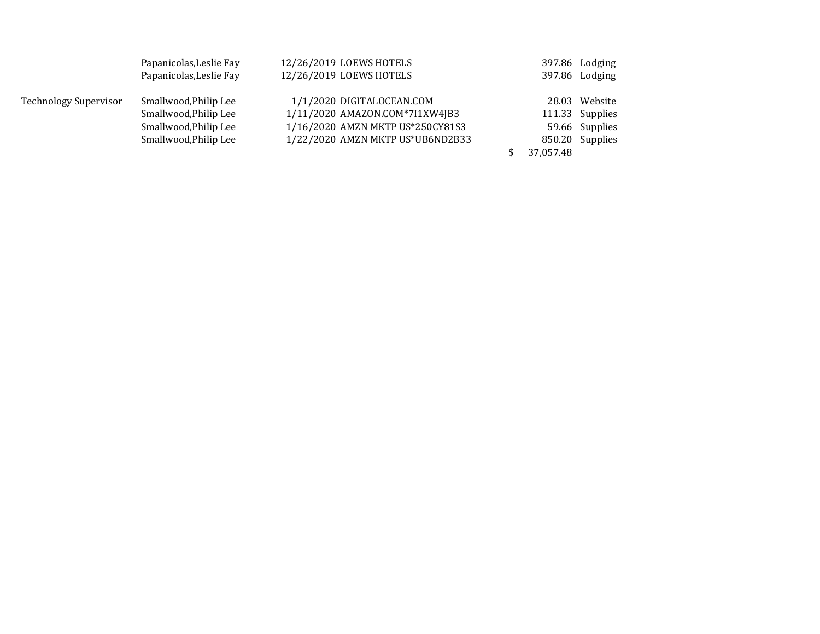|                       | Papanicolas, Leslie Fay | 12/26/2019 LOEWS HOTELS   |                                  |           | 397.86 Lodging  |
|-----------------------|-------------------------|---------------------------|----------------------------------|-----------|-----------------|
|                       | Papanicolas, Leslie Fay | 12/26/2019 LOEWS HOTELS   |                                  |           | 397.86 Lodging  |
| Technology Supervisor | Smallwood, Philip Lee   | 1/1/2020 DIGITALOCEAN.COM |                                  |           | 28.03 Website   |
|                       | Smallwood, Philip Lee   |                           | 1/11/2020 AMAZON.COM*7I1XW4JB3   |           | 111.33 Supplies |
|                       | Smallwood, Philip Lee   |                           | 1/16/2020 AMZN MKTP US*250CY81S3 |           | 59.66 Supplies  |
|                       | Smallwood, Philip Lee   |                           | 1/22/2020 AMZN MKTP US*UB6ND2B33 |           | 850.20 Supplies |
|                       |                         |                           |                                  | 37,057.48 |                 |